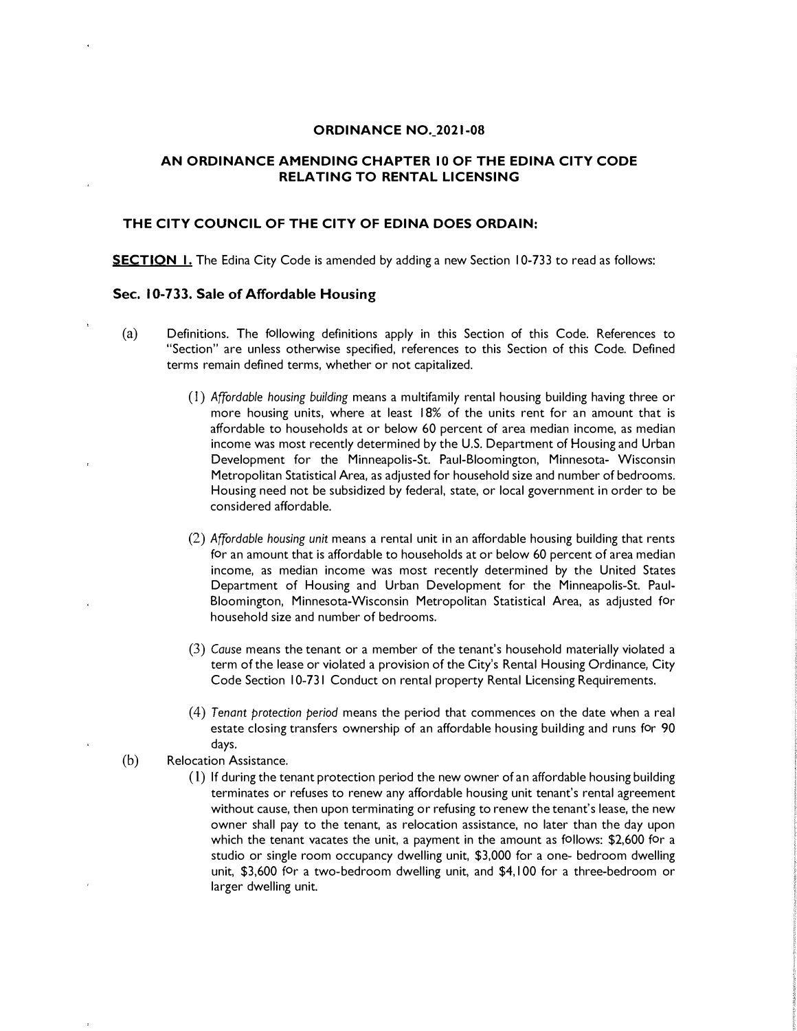#### **ORDINANCE NO.\_2021-08**

## **AN ORDINANCE AMENDING CHAPTER IO OF THE EDINA CITY CODE RELATING TO RENTAL LICENSING**

# **THE CITY COUNCIL OF THE CITY OF EDINA DOES ORDAIN:**

**SECTION I.** The Edina City Code is amended by adding a new Section 10-733 to read as follows:

#### **Sec. 10-733. Sale of Affordable Housing**

- (a) Definitions. The following definitions apply in this Section of this Code. References to "Section" are unless otherwise specified, references to this Section of this Code. Defined terms remain defined terms, whether or not capitalized.
	- (I) *Affordable housing building* means a multifamily rental housing building having three or more housing units, where at least 18% of the units rent for an amount that is affordable to households at or below 60 percent of area median income, as median income was most recently determined by the U.S. Department of Housing and Urban Development for the Minneapolis-St. Paul-Bloomington, Minnesota- Wisconsin Metropolitan Statistical Area, as adjusted for household size and number of bedrooms. Housing need not be subsidized by federal, state, or local government in order to be considered affordable.
	- (2) *Affordable housing unit* means a rental unit in an affordable housing building that rents for an amount that is affordable to households at or below 60 percent of area median income, as median income was most recently determined by the United States Department of Housing and Urban Development for the Minneapolis-St. Paul-Bloomington, Minnesota-Wisconsin Metropolitan Statistical Area, as adjusted for household size and number of bedrooms.
	- (3) *Cause* means the tenant or a member of the tenant's household materially violated a term of the lease or violated a provision of the City's Rental Housing Ordinance, City Code Section 10-731 Conduct on rental property Rental Licensing Requirements.
	- (4) *Tenant protection period* means the period that commences on the date when a real estate closing transfers ownership of an affordable housing building and runs for 90 days.
- (b) Relocation Assistance.
	- ( l) If during the tenant protection period the new owner of an affordable housing building terminates or refuses to renew any affordable housing unit tenant's rental agreement without cause, then upon terminating or refusing to renew the tenant's lease, the new owner shall pay to the tenant, as relocation assistance, no later than the day upon which the tenant vacates the unit, a payment in the amount as follows: \$2,600 for a studio or single room occupancy dwelling unit, \$3,000 for a one- bedroom dwelling unit, \$3,600 for a two-bedroom dwelling unit, and \$4,100 for a three-bedroom or larger dwelling unit.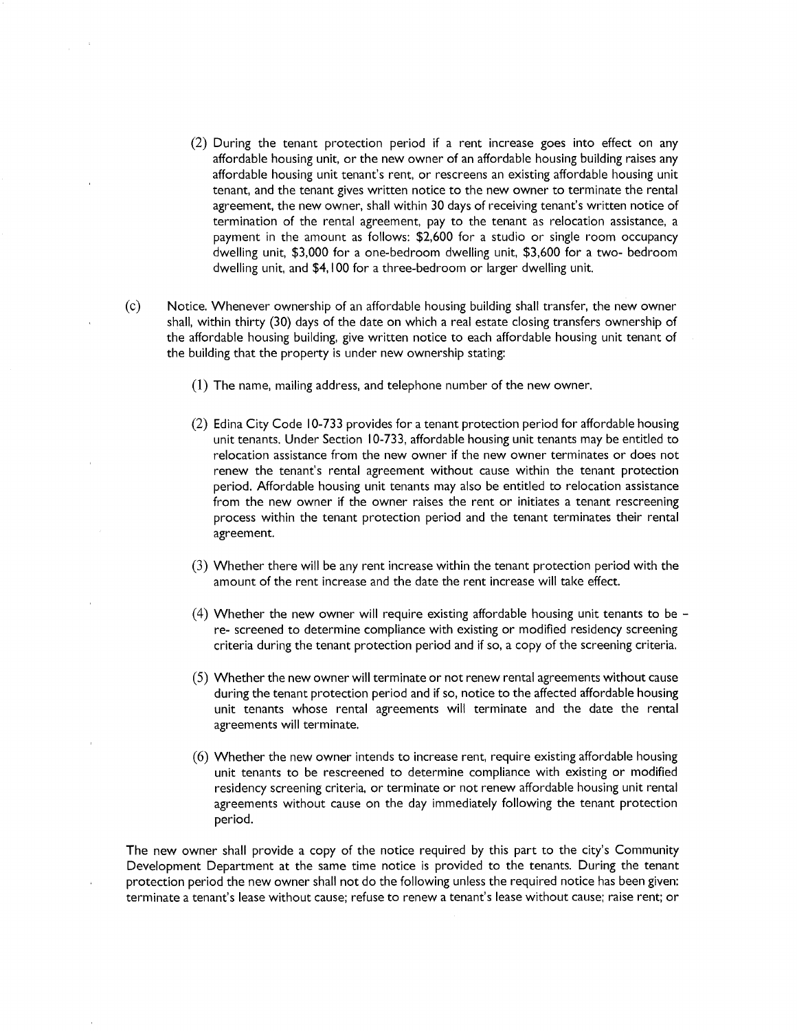- (2) During the tenant protection period if a rent increase goes into effect on any affordable housing unit, or the new owner of an affordable housing building raises any affordable housing unit tenant's rent, or rescreens an existing affordable housing unit tenant, and the tenant gives written notice to the new owner to terminate the rental agreement, the new owner, shall within 30 days of receiving tenant's written notice of termination of the rental agreement, pay to the tenant as relocation assistance, a payment in the amount as follows: \$2,600 for a studio or single room occupancy dwelling unit, \$3,000 for a one-bedroom dwelling unit, \$3,600 for a two- bedroom dwelling unit, and \$4,100 for a three-bedroom or larger dwelling unit.
- (c) Notice. Whenever ownership of an affordable housing building shall transfer, the new owner shall, within thirty (30) days of the date on which a real estate closing transfers ownership of the affordable housing building, give written notice to each affordable housing unit tenant of the building that the property is under new ownership stating:
	- (1) The name, mailing address, and telephone number of the new owner.
	- (2) Edina City Code 10-733 provides for a tenant protection period for affordable housing unit tenants. Under Section I0-733, affordable housing unit tenants may be entitled to relocation assistance from the new owner if the new owner terminates or does not renew the tenant's rental agreement without cause within the tenant protection period. Affordable housing unit tenants may also be entitled to relocation assistance from the new owner if the owner raises the rent or initiates a tenant rescreening process within the tenant protection period and the tenant terminates their rental agreement.
	- (3) Whether there will be any rent increase within the tenant protection period with the amount of the rent increase and the date the rent increase will take effect.
	- (4) Whether the new owner will require existing affordable housing unit tenants to be  $$ re- screened to determine compliance with existing or modified residency screening criteria during the tenant protection period and if so, a copy of the screening criteria.
	- (5) Whether the new owner will terminate or not renew rental agreements without cause during the tenant protection period and if so, notice to the affected affordable housing unit tenants whose rental agreements will terminate and the date the rental agreements will terminate.
	- (6) Whether the new owner intends to increase rent, require existing affordable housing unit tenants to be rescreened to determine compliance with existing or modified residency screening criteria, or terminate or not renew affordable housing unit rental agreements without cause on the day immediately following the tenant protection period.

The new owner shall provide a copy of the notice required by this part to the city's Community Development Department at the same time notice is provided to the tenants. During the tenant protection period the new owner shall not do the following unless the required notice has been given: terminate a tenant's lease without cause; refuse to renew a tenant's lease without cause; raise rent; or